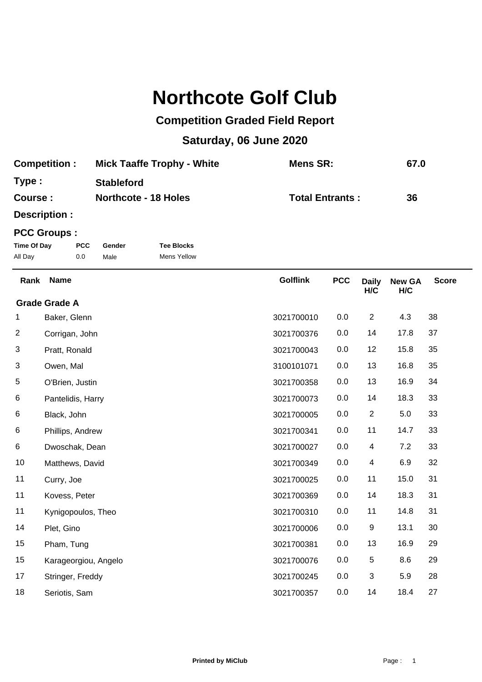## **Northcote Golf Club**

## **Competition Graded Field Report**

## **Saturday, 06 June 2020**

| <b>Competition:</b> | <b>Mick Taaffe Trophy - White</b> | Mens SR:               | 67.0 |
|---------------------|-----------------------------------|------------------------|------|
| Type:               | <b>Stableford</b>                 |                        |      |
| Course:             | <b>Northcote - 18 Holes</b>       | <b>Total Entrants:</b> | 36   |

**Description :**

## **PCC Groups :**

| Time Of Day | <b>PCC</b> | Gender | <b>Tee Blocks</b> |
|-------------|------------|--------|-------------------|
| All Day     | 0.0        | Male   | Mens Yellow       |

| Rank | <b>Name</b>          | <b>Golflink</b> | <b>PCC</b> | <b>Daily</b><br>H/C | <b>New GA</b><br>H/C | <b>Score</b> |
|------|----------------------|-----------------|------------|---------------------|----------------------|--------------|
|      | <b>Grade Grade A</b> |                 |            |                     |                      |              |
| 1    | Baker, Glenn         | 3021700010      | 0.0        | $\overline{2}$      | 4.3                  | 38           |
| 2    | Corrigan, John       | 3021700376      | 0.0        | 14                  | 17.8                 | 37           |
| 3    | Pratt, Ronald        | 3021700043      | 0.0        | 12                  | 15.8                 | 35           |
| 3    | Owen, Mal            | 3100101071      | 0.0        | 13                  | 16.8                 | 35           |
| 5    | O'Brien, Justin      | 3021700358      | 0.0        | 13                  | 16.9                 | 34           |
| 6    | Pantelidis, Harry    | 3021700073      | 0.0        | 14                  | 18.3                 | 33           |
| 6    | Black, John          | 3021700005      | 0.0        | $\overline{2}$      | 5.0                  | 33           |
| 6    | Phillips, Andrew     | 3021700341      | 0.0        | 11                  | 14.7                 | 33           |
| 6    | Dwoschak, Dean       | 3021700027      | 0.0        | 4                   | 7.2                  | 33           |
| 10   | Matthews, David      | 3021700349      | 0.0        | 4                   | 6.9                  | 32           |
| 11   | Curry, Joe           | 3021700025      | 0.0        | 11                  | 15.0                 | 31           |
| 11   | Kovess, Peter        | 3021700369      | 0.0        | 14                  | 18.3                 | 31           |
| 11   | Kynigopoulos, Theo   | 3021700310      | 0.0        | 11                  | 14.8                 | 31           |
| 14   | Plet, Gino           | 3021700006      | 0.0        | 9                   | 13.1                 | 30           |
| 15   | Pham, Tung           | 3021700381      | 0.0        | 13                  | 16.9                 | 29           |
| 15   | Karageorgiou, Angelo | 3021700076      | 0.0        | 5                   | 8.6                  | 29           |
| 17   | Stringer, Freddy     | 3021700245      | 0.0        | 3                   | 5.9                  | 28           |
| 18   | Seriotis, Sam        | 3021700357      | 0.0        | 14                  | 18.4                 | 27           |